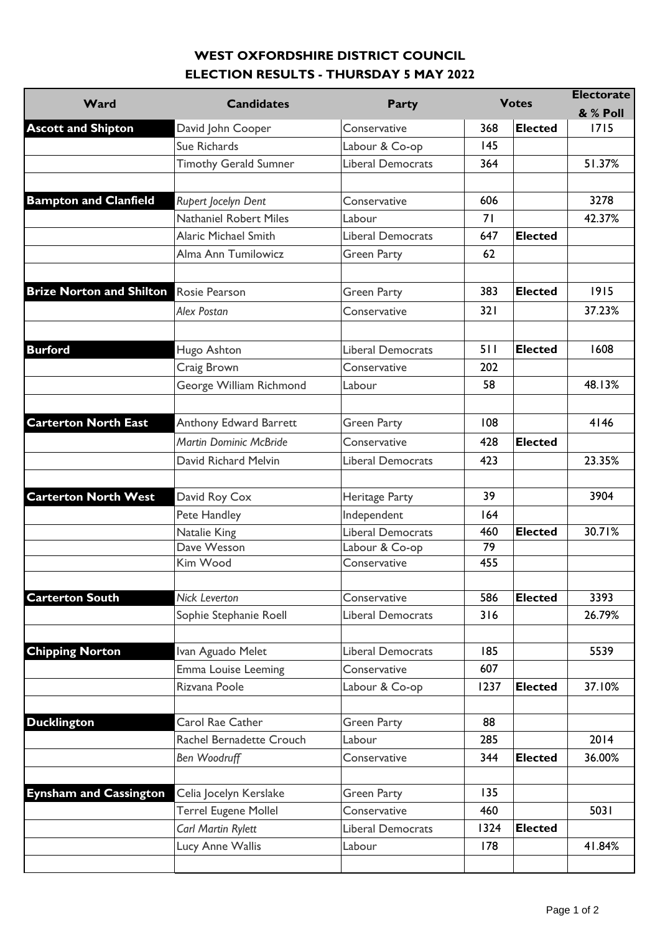## **WEST OXFORDSHIRE DISTRICT COUNCIL ELECTION RESULTS - THURSDAY 5 MAY 2022**

| Ward                                              | <b>Candidates</b>             |                          |      | <b>Votes</b>   | <b>Electorate</b> |
|---------------------------------------------------|-------------------------------|--------------------------|------|----------------|-------------------|
|                                                   |                               | <b>Party</b>             |      |                | & % Poll          |
| <b>Ascott and Shipton</b>                         | David John Cooper             | Conservative             | 368  | <b>Elected</b> | 1715              |
|                                                   | Sue Richards                  | Labour & Co-op           | 145  |                |                   |
|                                                   | <b>Timothy Gerald Sumner</b>  | Liberal Democrats        | 364  |                | 51.37%            |
|                                                   |                               |                          |      |                |                   |
| <b>Bampton and Clanfield</b>                      | Rupert Jocelyn Dent           | Conservative             | 606  |                | 3278              |
|                                                   | Nathaniel Robert Miles        | Labour                   | 71   |                | 42.37%            |
|                                                   | <b>Alaric Michael Smith</b>   | <b>Liberal Democrats</b> | 647  | <b>Elected</b> |                   |
|                                                   | Alma Ann Tumilowicz           | <b>Green Party</b>       | 62   |                |                   |
|                                                   |                               |                          |      |                |                   |
| <b>Brize Norton and Shilton</b><br><b>Burford</b> | Rosie Pearson                 | <b>Green Party</b>       | 383  | <b>Elected</b> | 1915              |
|                                                   | <b>Alex Postan</b>            | Conservative             | 321  |                | 37.23%            |
|                                                   |                               |                          |      |                |                   |
|                                                   | Hugo Ashton                   | Liberal Democrats        | 511  | <b>Elected</b> | 1608              |
|                                                   | Craig Brown                   | Conservative             | 202  |                |                   |
|                                                   | George William Richmond       | Labour                   | 58   |                | 48.13%            |
|                                                   |                               |                          |      |                |                   |
| <b>Carterton North East</b>                       | Anthony Edward Barrett        | <b>Green Party</b>       | 108  |                | 4146              |
|                                                   | <b>Martin Dominic McBride</b> | Conservative             | 428  | <b>Elected</b> |                   |
|                                                   | David Richard Melvin          | Liberal Democrats        | 423  |                | 23.35%            |
|                                                   |                               |                          |      |                |                   |
| <b>Carterton North West</b>                       | David Roy Cox                 | Heritage Party           | 39   |                | 3904              |
|                                                   | Pete Handley                  | Independent              | 164  |                |                   |
|                                                   | Natalie King                  | Liberal Democrats        | 460  | <b>Elected</b> | 30.71%            |
|                                                   | Dave Wesson                   | Labour & Co-op           | 79   |                |                   |
|                                                   | Kim Wood                      | Conservative             | 455  |                |                   |
|                                                   |                               |                          |      |                |                   |
| <b>Carterton South</b>                            | <b>Nick Leverton</b>          | Conservative             | 586  | <b>Elected</b> | 3393              |
|                                                   | Sophie Stephanie Roell        | <b>Liberal Democrats</b> | 316  |                | 26.79%            |
|                                                   |                               |                          |      |                |                   |
| <b>Chipping Norton</b>                            | Ivan Aguado Melet             | <b>Liberal Democrats</b> | 185  |                | 5539              |
|                                                   | Emma Louise Leeming           | Conservative             | 607  |                |                   |
|                                                   | Rizvana Poole                 | Labour & Co-op           | 1237 | <b>Elected</b> | 37.10%            |
|                                                   |                               |                          |      |                |                   |
| <b>Ducklington</b>                                | Carol Rae Cather              | <b>Green Party</b>       | 88   |                |                   |
|                                                   | Rachel Bernadette Crouch      | Labour                   | 285  |                | 2014              |
|                                                   | <b>Ben Woodruff</b>           | Conservative             | 344  | <b>Elected</b> | 36.00%            |
|                                                   |                               |                          |      |                |                   |
| <b>Eynsham and Cassington</b>                     | Celia Jocelyn Kerslake        | <b>Green Party</b>       | 135  |                |                   |
|                                                   | Terrel Eugene Mollel          | Conservative             | 460  |                | 5031              |
|                                                   | Carl Martin Rylett            | <b>Liberal Democrats</b> | 1324 | <b>Elected</b> |                   |
|                                                   | Lucy Anne Wallis              | Labour                   | 178  |                | 41.84%            |
|                                                   |                               |                          |      |                |                   |